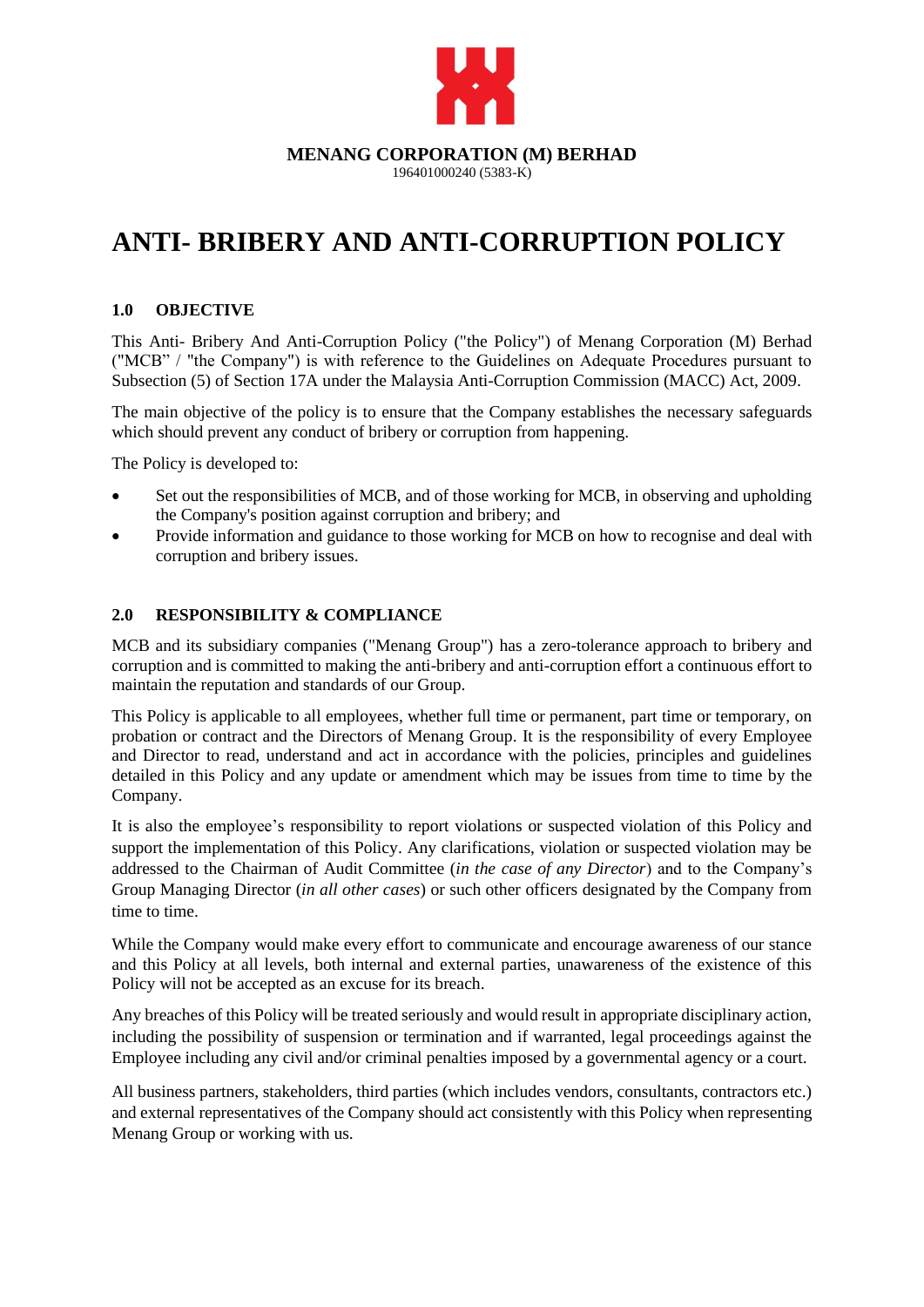

# **ANTI- BRIBERY AND ANTI-CORRUPTION POLICY**

# **1.0 OBJECTIVE**

This Anti- Bribery And Anti-Corruption Policy ("the Policy") of Menang Corporation (M) Berhad ("MCB" / "the Company") is with reference to the Guidelines on Adequate Procedures pursuant to Subsection (5) of Section 17A under the Malaysia Anti-Corruption Commission (MACC) Act, 2009.

The main objective of the policy is to ensure that the Company establishes the necessary safeguards which should prevent any conduct of bribery or corruption from happening.

The Policy is developed to:

- Set out the responsibilities of MCB, and of those working for MCB, in observing and upholding the Company's position against corruption and bribery; and
- Provide information and guidance to those working for MCB on how to recognise and deal with corruption and bribery issues.

#### **2.0 RESPONSIBILITY & COMPLIANCE**

MCB and its subsidiary companies ("Menang Group") has a zero-tolerance approach to bribery and corruption and is committed to making the anti-bribery and anti-corruption effort a continuous effort to maintain the reputation and standards of our Group.

This Policy is applicable to all employees, whether full time or permanent, part time or temporary, on probation or contract and the Directors of Menang Group. It is the responsibility of every Employee and Director to read, understand and act in accordance with the policies, principles and guidelines detailed in this Policy and any update or amendment which may be issues from time to time by the Company.

It is also the employee's responsibility to report violations or suspected violation of this Policy and support the implementation of this Policy. Any clarifications, violation or suspected violation may be addressed to the Chairman of Audit Committee (*in the case of any Director*) and to the Company's Group Managing Director (*in all other cases*) or such other officers designated by the Company from time to time.

While the Company would make every effort to communicate and encourage awareness of our stance and this Policy at all levels, both internal and external parties, unawareness of the existence of this Policy will not be accepted as an excuse for its breach.

Any breaches of this Policy will be treated seriously and would result in appropriate disciplinary action, including the possibility of suspension or termination and if warranted, legal proceedings against the Employee including any civil and/or criminal penalties imposed by a governmental agency or a court.

All business partners, stakeholders, third parties (which includes vendors, consultants, contractors etc.) and external representatives of the Company should act consistently with this Policy when representing Menang Group or working with us.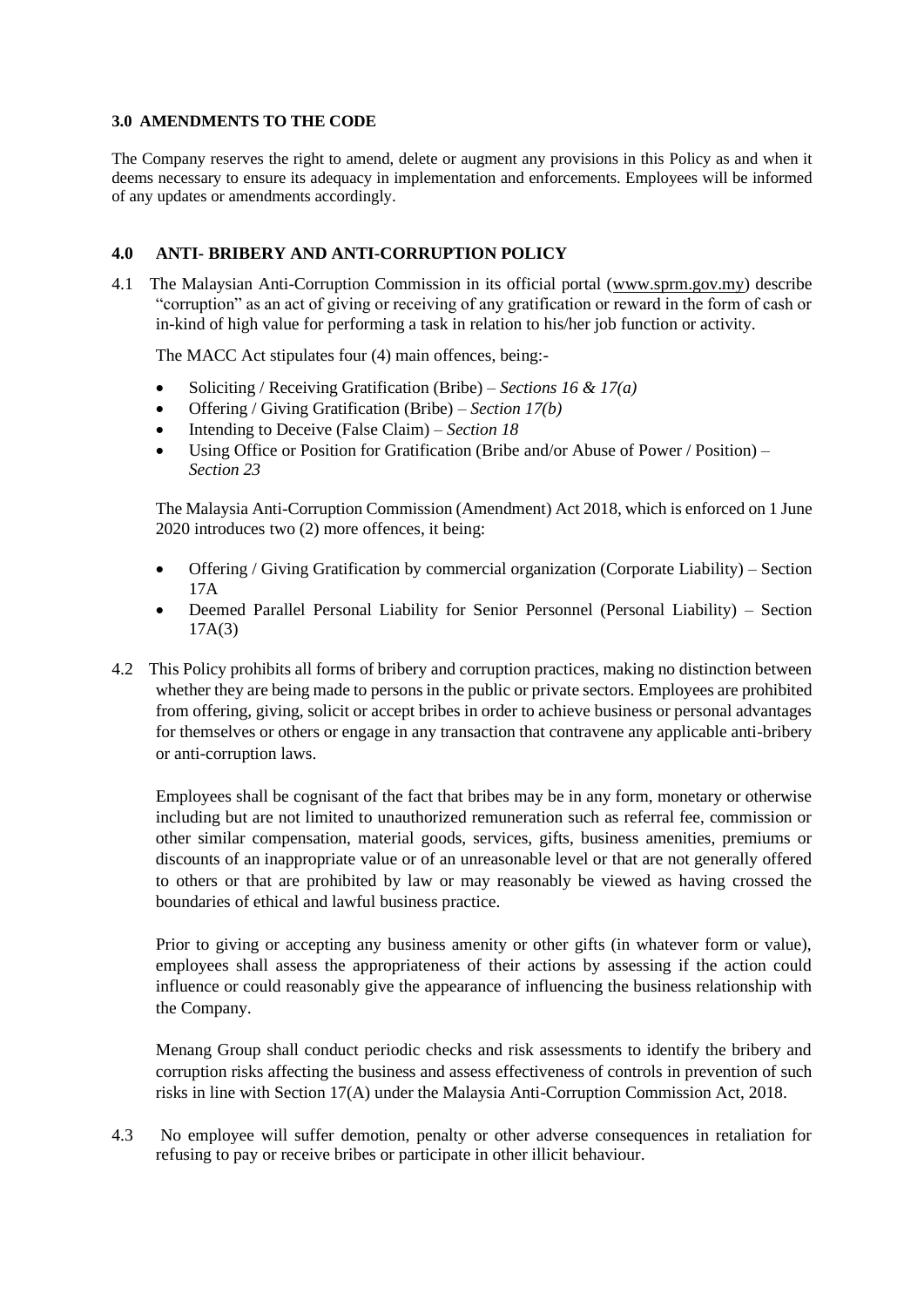#### **3.0 AMENDMENTS TO THE CODE**

The Company reserves the right to amend, delete or augment any provisions in this Policy as and when it deems necessary to ensure its adequacy in implementation and enforcements. Employees will be informed of any updates or amendments accordingly.

## **4.0 ANTI- BRIBERY AND ANTI-CORRUPTION POLICY**

4.1 The Malaysian Anti-Corruption Commission in its official portal [\(www.sprm.gov.my\)](http://www.sprm.gov.my/) describe "corruption" as an act of giving or receiving of any gratification or reward in the form of cash or in-kind of high value for performing a task in relation to his/her job function or activity.

The MACC Act stipulates four (4) main offences, being:-

- Soliciting / Receiving Gratification (Bribe) *Sections 16 & 17(a)*
- Offering / Giving Gratification (Bribe) *Section 17(b)*
- Intending to Deceive (False Claim) *Section 18*
- Using Office or Position for Gratification (Bribe and/or Abuse of Power / Position) *Section 23*

The Malaysia Anti-Corruption Commission (Amendment) Act 2018, which is enforced on 1 June 2020 introduces two (2) more offences, it being:

- Offering / Giving Gratification by commercial organization (Corporate Liability) Section 17A
- Deemed Parallel Personal Liability for Senior Personnel (Personal Liability) Section 17A(3)
- 4.2 This Policy prohibits all forms of bribery and corruption practices, making no distinction between whether they are being made to persons in the public or private sectors. Employees are prohibited from offering, giving, solicit or accept bribes in order to achieve business or personal advantages for themselves or others or engage in any transaction that contravene any applicable anti-bribery or anti-corruption laws.

Employees shall be cognisant of the fact that bribes may be in any form, monetary or otherwise including but are not limited to unauthorized remuneration such as referral fee, commission or other similar compensation, material goods, services, gifts, business amenities, premiums or discounts of an inappropriate value or of an unreasonable level or that are not generally offered to others or that are prohibited by law or may reasonably be viewed as having crossed the boundaries of ethical and lawful business practice.

Prior to giving or accepting any business amenity or other gifts (in whatever form or value), employees shall assess the appropriateness of their actions by assessing if the action could influence or could reasonably give the appearance of influencing the business relationship with the Company.

Menang Group shall conduct periodic checks and risk assessments to identify the bribery and corruption risks affecting the business and assess effectiveness of controls in prevention of such risks in line with Section 17(A) under the Malaysia Anti-Corruption Commission Act, 2018.

4.3 No employee will suffer demotion, penalty or other adverse consequences in retaliation for refusing to pay or receive bribes or participate in other illicit behaviour.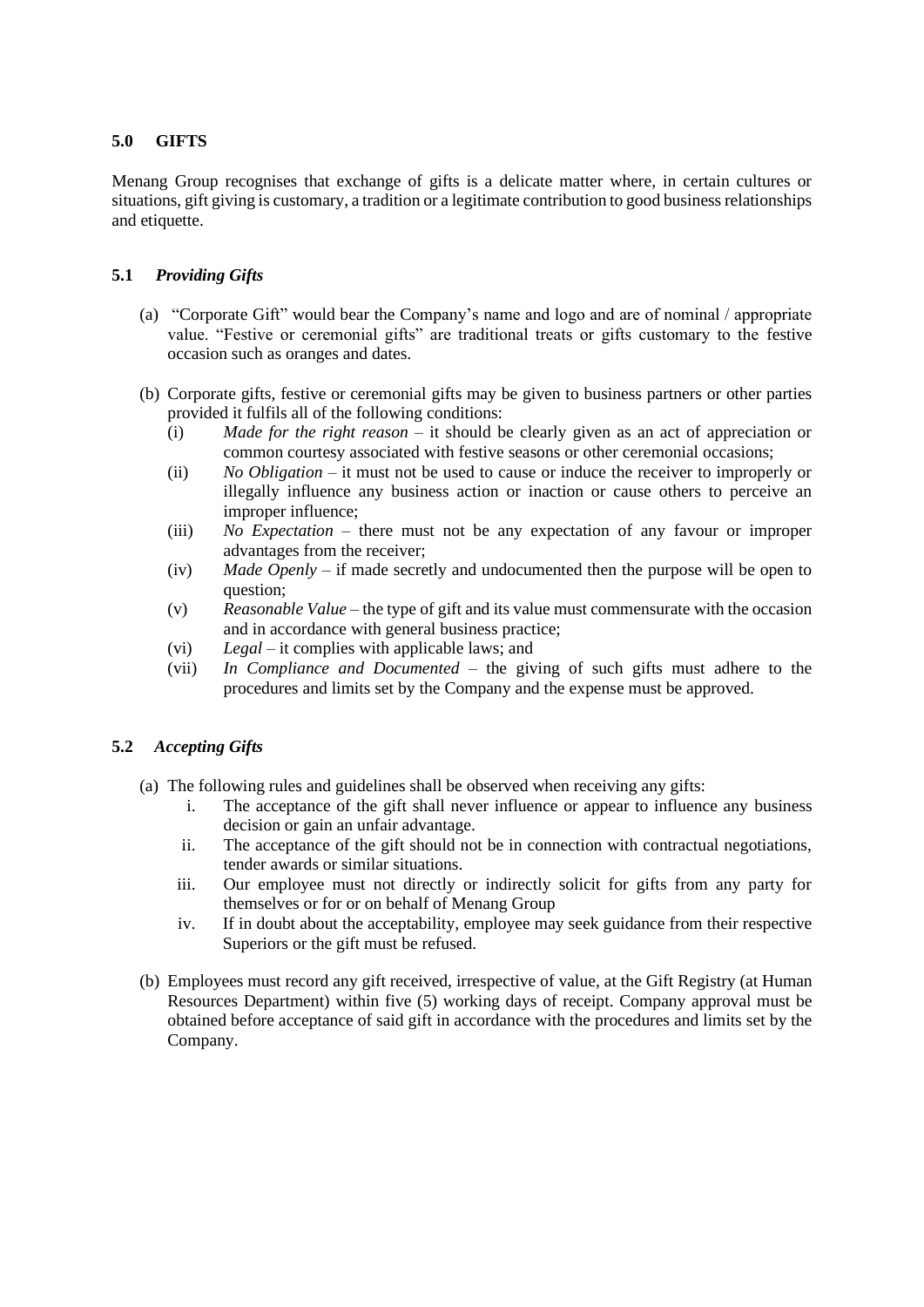# **5.0 GIFTS**

Menang Group recognises that exchange of gifts is a delicate matter where, in certain cultures or situations, gift giving is customary, a tradition or a legitimate contribution to good business relationships and etiquette.

## **5.1** *Providing Gifts*

- (a) "Corporate Gift" would bear the Company's name and logo and are of nominal / appropriate value. "Festive or ceremonial gifts" are traditional treats or gifts customary to the festive occasion such as oranges and dates.
- (b) Corporate gifts, festive or ceremonial gifts may be given to business partners or other parties provided it fulfils all of the following conditions:
	- (i) *Made for the right reason* it should be clearly given as an act of appreciation or common courtesy associated with festive seasons or other ceremonial occasions;
	- (ii) *No Obligation* it must not be used to cause or induce the receiver to improperly or illegally influence any business action or inaction or cause others to perceive an improper influence;
	- (iii) *No Expectation* there must not be any expectation of any favour or improper advantages from the receiver;
	- (iv) *Made Openly* if made secretly and undocumented then the purpose will be open to question;
	- (v) *Reasonable Value* the type of gift and its value must commensurate with the occasion and in accordance with general business practice;
	- (vi) *Legal* it complies with applicable laws; and
	- (vii) *In Compliance and Documented* the giving of such gifts must adhere to the procedures and limits set by the Company and the expense must be approved.

#### **5.2** *Accepting Gifts*

- (a) The following rules and guidelines shall be observed when receiving any gifts:
	- i. The acceptance of the gift shall never influence or appear to influence any business decision or gain an unfair advantage.
	- ii. The acceptance of the gift should not be in connection with contractual negotiations, tender awards or similar situations.
	- iii. Our employee must not directly or indirectly solicit for gifts from any party for themselves or for or on behalf of Menang Group
	- iv. If in doubt about the acceptability, employee may seek guidance from their respective Superiors or the gift must be refused.
- (b) Employees must record any gift received, irrespective of value, at the Gift Registry (at Human Resources Department) within five (5) working days of receipt. Company approval must be obtained before acceptance of said gift in accordance with the procedures and limits set by the Company.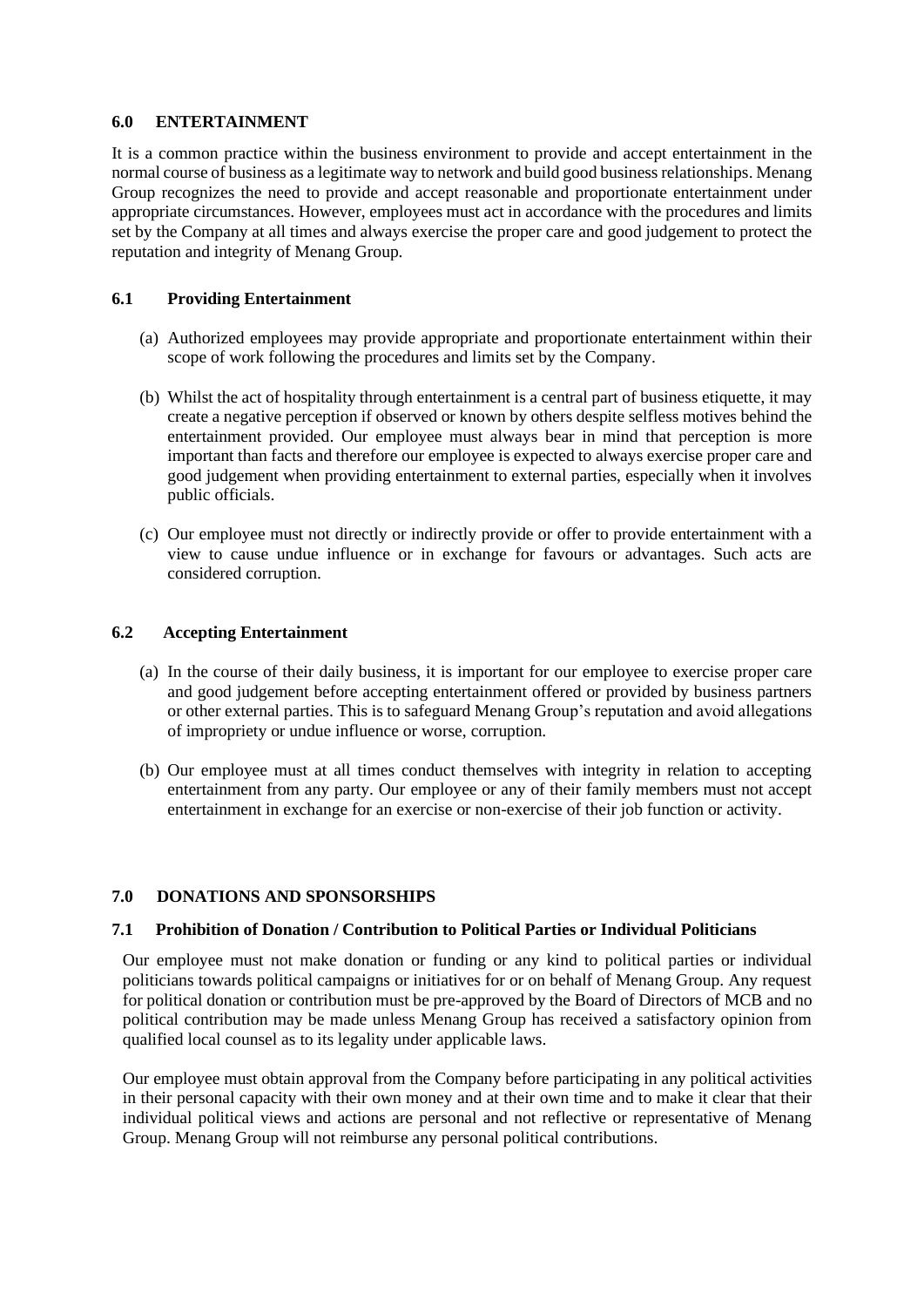#### **6.0 ENTERTAINMENT**

It is a common practice within the business environment to provide and accept entertainment in the normal course of business as a legitimate way to network and build good business relationships. Menang Group recognizes the need to provide and accept reasonable and proportionate entertainment under appropriate circumstances. However, employees must act in accordance with the procedures and limits set by the Company at all times and always exercise the proper care and good judgement to protect the reputation and integrity of Menang Group.

#### **6.1 Providing Entertainment**

- (a) Authorized employees may provide appropriate and proportionate entertainment within their scope of work following the procedures and limits set by the Company.
- (b) Whilst the act of hospitality through entertainment is a central part of business etiquette, it may create a negative perception if observed or known by others despite selfless motives behind the entertainment provided. Our employee must always bear in mind that perception is more important than facts and therefore our employee is expected to always exercise proper care and good judgement when providing entertainment to external parties, especially when it involves public officials.
- (c) Our employee must not directly or indirectly provide or offer to provide entertainment with a view to cause undue influence or in exchange for favours or advantages. Such acts are considered corruption.

#### **6.2 Accepting Entertainment**

- (a) In the course of their daily business, it is important for our employee to exercise proper care and good judgement before accepting entertainment offered or provided by business partners or other external parties. This is to safeguard Menang Group's reputation and avoid allegations of impropriety or undue influence or worse, corruption.
- (b) Our employee must at all times conduct themselves with integrity in relation to accepting entertainment from any party. Our employee or any of their family members must not accept entertainment in exchange for an exercise or non-exercise of their job function or activity.

#### **7.0 DONATIONS AND SPONSORSHIPS**

#### **7.1 Prohibition of Donation / Contribution to Political Parties or Individual Politicians**

Our employee must not make donation or funding or any kind to political parties or individual politicians towards political campaigns or initiatives for or on behalf of Menang Group. Any request for political donation or contribution must be pre-approved by the Board of Directors of MCB and no political contribution may be made unless Menang Group has received a satisfactory opinion from qualified local counsel as to its legality under applicable laws.

Our employee must obtain approval from the Company before participating in any political activities in their personal capacity with their own money and at their own time and to make it clear that their individual political views and actions are personal and not reflective or representative of Menang Group. Menang Group will not reimburse any personal political contributions.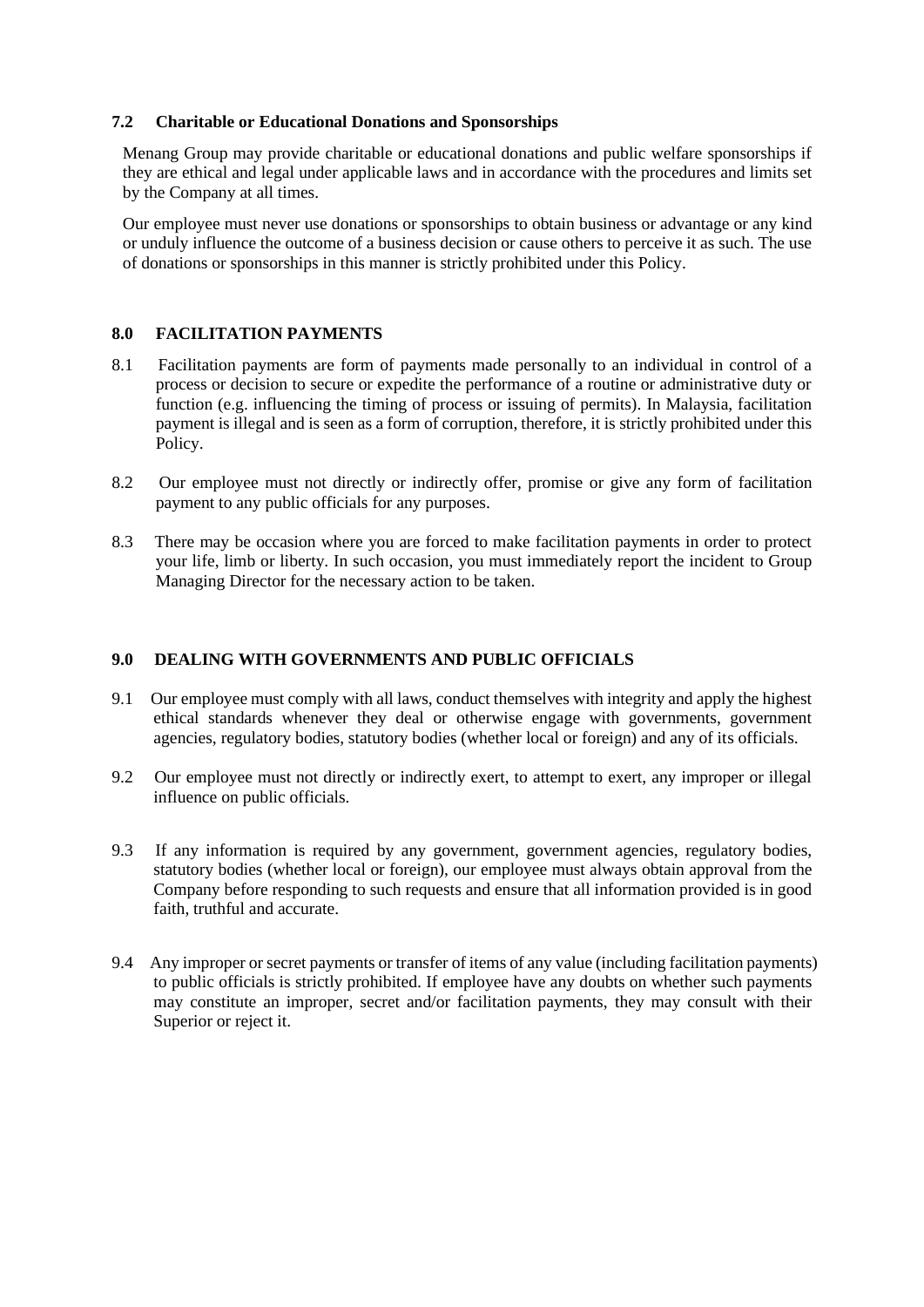#### **7.2 Charitable or Educational Donations and Sponsorships**

Menang Group may provide charitable or educational donations and public welfare sponsorships if they are ethical and legal under applicable laws and in accordance with the procedures and limits set by the Company at all times.

Our employee must never use donations or sponsorships to obtain business or advantage or any kind or unduly influence the outcome of a business decision or cause others to perceive it as such. The use of donations or sponsorships in this manner is strictly prohibited under this Policy.

#### **8.0 FACILITATION PAYMENTS**

- 8.1 Facilitation payments are form of payments made personally to an individual in control of a process or decision to secure or expedite the performance of a routine or administrative duty or function (e.g. influencing the timing of process or issuing of permits). In Malaysia, facilitation payment is illegal and is seen as a form of corruption, therefore, it is strictly prohibited under this Policy.
- 8.2 Our employee must not directly or indirectly offer, promise or give any form of facilitation payment to any public officials for any purposes.
- 8.3 There may be occasion where you are forced to make facilitation payments in order to protect your life, limb or liberty. In such occasion, you must immediately report the incident to Group Managing Director for the necessary action to be taken.

# **9.0 DEALING WITH GOVERNMENTS AND PUBLIC OFFICIALS**

- 9.1 Our employee must comply with all laws, conduct themselves with integrity and apply the highest ethical standards whenever they deal or otherwise engage with governments, government agencies, regulatory bodies, statutory bodies (whether local or foreign) and any of its officials.
- 9.2 Our employee must not directly or indirectly exert, to attempt to exert, any improper or illegal influence on public officials.
- 9.3 If any information is required by any government, government agencies, regulatory bodies, statutory bodies (whether local or foreign), our employee must always obtain approval from the Company before responding to such requests and ensure that all information provided is in good faith, truthful and accurate.
- 9.4 Any improper or secret payments or transfer of items of any value (including facilitation payments) to public officials is strictly prohibited. If employee have any doubts on whether such payments may constitute an improper, secret and/or facilitation payments, they may consult with their Superior or reject it.